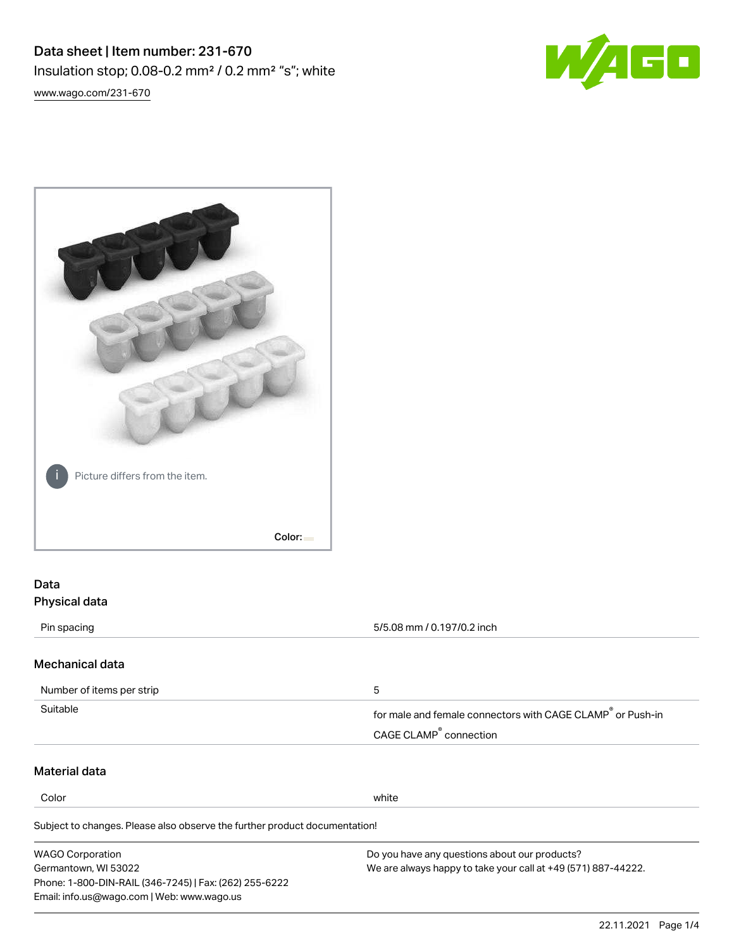



# Data Physical data

| Pin spacing                                                                | 5/5.08 mm / 0.197/0.2 inch                                             |
|----------------------------------------------------------------------------|------------------------------------------------------------------------|
|                                                                            |                                                                        |
| Mechanical data                                                            |                                                                        |
| Number of items per strip                                                  | 5                                                                      |
| Suitable                                                                   | for male and female connectors with CAGE CLAMP <sup>®</sup> or Push-in |
|                                                                            | CAGE CLAMP <sup>®</sup> connection                                     |
| Material data                                                              |                                                                        |
| Color                                                                      | white                                                                  |
| Subject to changes. Please also observe the further product documentation! |                                                                        |
| <b>WAGO Corporation</b>                                                    | Do you have any questions about our products?                          |
| Germantown, WI 53022                                                       | We are always happy to take your call at +49 (571) 887-44222.          |
| Phone: 1-800-DIN-RAIL (346-7245)   Fax: (262) 255-6222                     |                                                                        |
| Email: info.us@wago.com   Web: www.wago.us                                 |                                                                        |
|                                                                            | 22.11.2021<br>Page 1/4                                                 |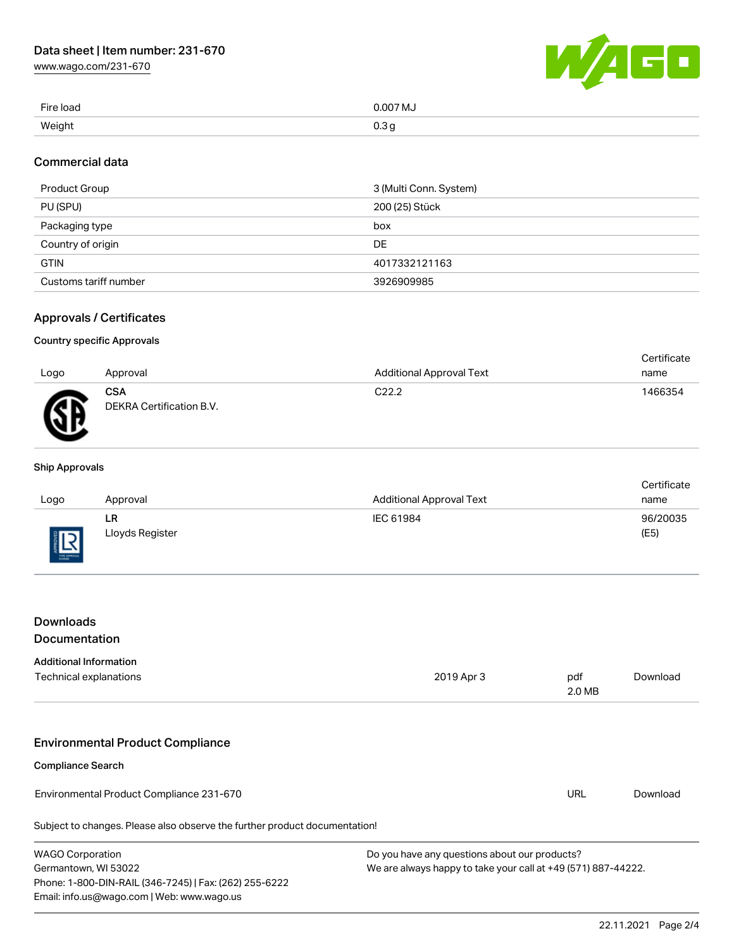[www.wago.com/231-670](http://www.wago.com/231-670)



| Fire load | 0.007 MJ |
|-----------|----------|
| Weight    | 0.3 g    |

### Commercial data

| Product Group         | 3 (Multi Conn. System) |
|-----------------------|------------------------|
| PU (SPU)              | 200 (25) Stück         |
| Packaging type        | box                    |
| Country of origin     | <b>DE</b>              |
| <b>GTIN</b>           | 4017332121163          |
| Customs tariff number | 3926909985             |

### Approvals / Certificates

#### Country specific Approvals

|      |                                        |                                 | Certificate |
|------|----------------------------------------|---------------------------------|-------------|
| Logo | Approval                               | <b>Additional Approval Text</b> | name        |
| Æ    | <b>CSA</b><br>DEKRA Certification B.V. | C <sub>22.2</sub>               | 1466354     |
|      |                                        |                                 |             |

#### Ship Approvals

|      |                 |                                 | Certificate |
|------|-----------------|---------------------------------|-------------|
| Logo | Approval        | <b>Additional Approval Text</b> | name        |
|      | LR              | IEC 61984                       | 96/20035    |
| 旧    | Lloyds Register |                                 | (E5)        |

## Downloads Documentation

### Additional Information

| Technical explanations                                                     | 2019 Apr 3 | pdf<br>2.0 MB | Download |
|----------------------------------------------------------------------------|------------|---------------|----------|
|                                                                            |            |               |          |
| <b>Environmental Product Compliance</b><br><b>Compliance Search</b>        |            |               |          |
| Environmental Product Compliance 231-670                                   |            | URL           | Download |
| Subject to changes. Please also observe the further product documentation! |            |               |          |

| <b>WAGO Corporation</b>                                | Do you have any questions about our products?                 |
|--------------------------------------------------------|---------------------------------------------------------------|
| Germantown, WI 53022                                   | We are always happy to take your call at +49 (571) 887-44222. |
| Phone: 1-800-DIN-RAIL (346-7245)   Fax: (262) 255-6222 |                                                               |
| Email: info.us@wago.com   Web: www.wago.us             |                                                               |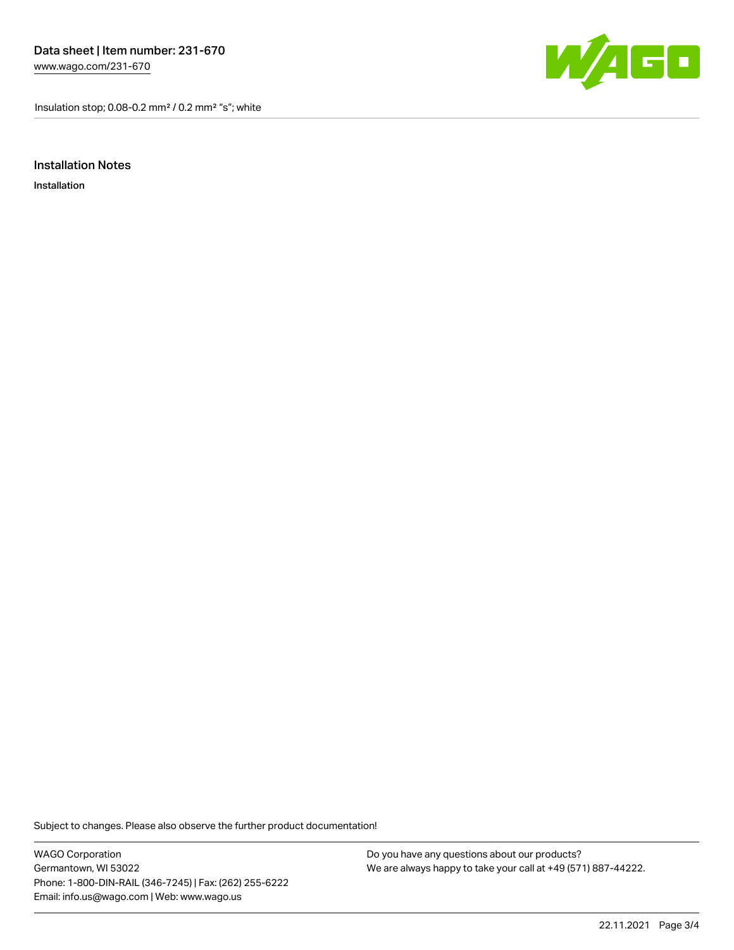Insulation stop; 0.08-0.2 mm² / 0.2 mm² "s"; white



Installation Notes

Installation

Subject to changes. Please also observe the further product documentation!

WAGO Corporation Germantown, WI 53022 Phone: 1-800-DIN-RAIL (346-7245) | Fax: (262) 255-6222 Email: info.us@wago.com | Web: www.wago.us

Do you have any questions about our products? We are always happy to take your call at +49 (571) 887-44222.